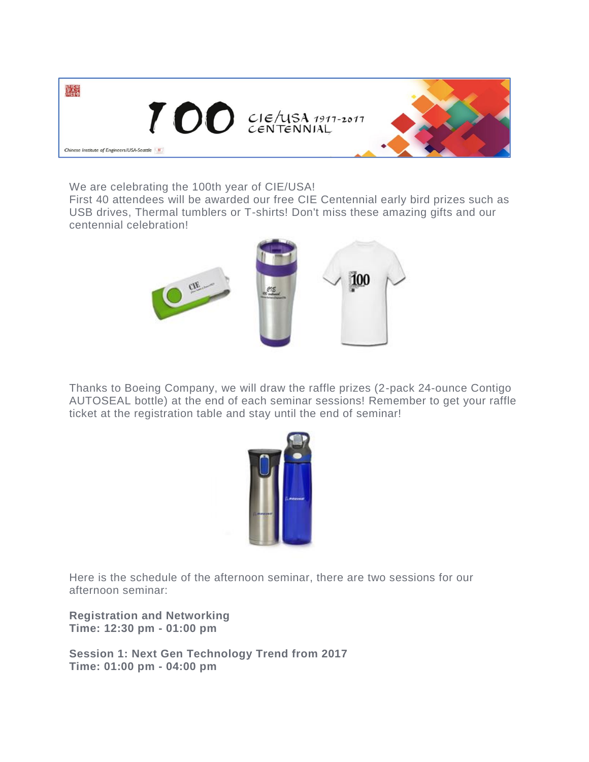

We are celebrating the 100th year of CIE/USA!

First 40 attendees will be awarded our free CIE Centennial early bird prizes such as USB drives, Thermal tumblers or T-shirts! Don't miss these amazing gifts and our centennial celebration!



Thanks to Boeing Company, we will draw the raffle prizes (2-pack 24-ounce Contigo AUTOSEAL bottle) at the end of each seminar sessions! Remember to get your raffle ticket at the registration table and stay until the end of seminar!



Here is the schedule of the afternoon seminar, there are two sessions for our afternoon seminar:

**Registration and Networking Time: 12:30 pm - 01:00 pm**

**Session 1: Next Gen Technology Trend from 2017 Time: 01:00 pm - 04:00 pm**